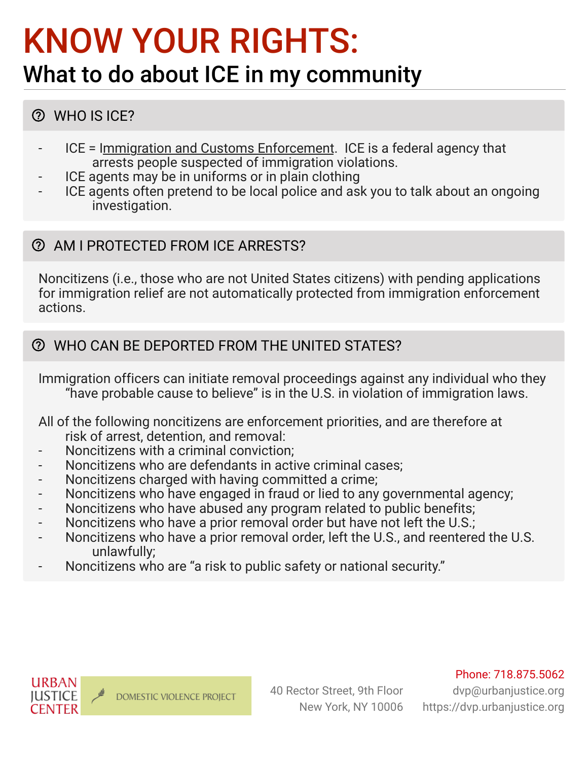# KNOW YOUR RIGHTS:

## What to do about ICE in my community

## WHO IS ICE?

- ICE = Immigration and Customs Enforcement. ICE is a federal agency that arrests people suspected of immigration violations.
- ICE agents may be in uniforms or in plain clothing
- ICE agents often pretend to be local police and ask you to talk about an ongoing investigation.

### AM I PROTECTED FROM ICE ARRESTS?

Noncitizens (i.e., those who are not United States citizens) with pending applications for immigration relief are not automatically protected from immigration enforcement actions.

## WHO CAN BE DEPORTED FROM THE UNITED STATES?

Immigration officers can initiate removal proceedings against any individual who they "have probable cause to believe" is in the U.S. in violation of immigration laws.

All of the following noncitizens are enforcement priorities, and are therefore at risk of arrest, detention, and removal:

- Noncitizens with a criminal conviction;
- Noncitizens who are defendants in active criminal cases:
- Noncitizens charged with having committed a crime;
- Noncitizens who have engaged in fraud or lied to any governmental agency;
- Noncitizens who have abused any program related to public benefits;
- Noncitizens who have a prior removal order but have not left the U.S.;
- Noncitizens who have a prior removal order, left the U.S., and reentered the U.S. unlawfully;
- Noncitizens who are "a risk to public safety or national security."



dvp@urbanjustice.org https://dvp.urbanjustice.org



**URBAN** 

IUSTICE **CENTER**  40 Rector Street, 9th Floor New York, NY 10006